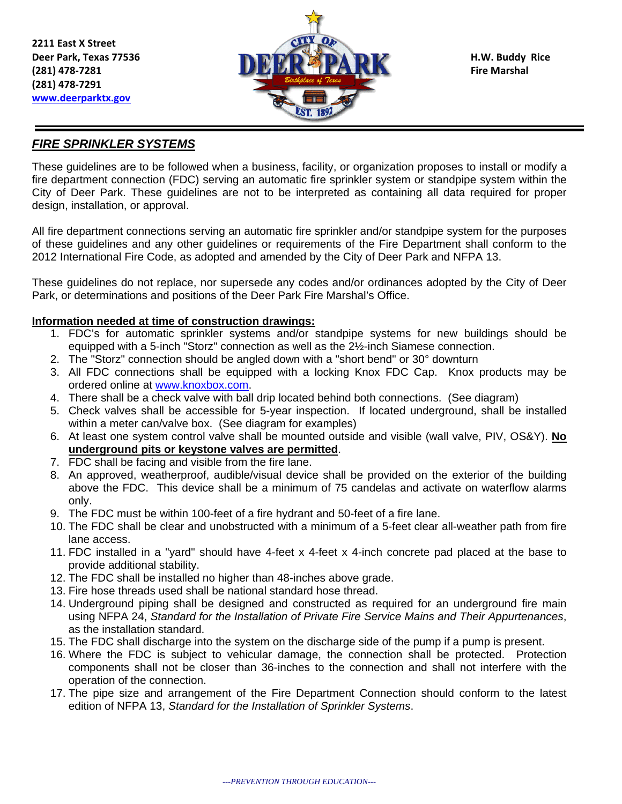**2211 East X Street (281) 478‐7291 www.deerparktx.gov**



### *FIRE SPRINKLER SYSTEMS*

These guidelines are to be followed when a business, facility, or organization proposes to install or modify a fire department connection (FDC) serving an automatic fire sprinkler system or standpipe system within the City of Deer Park. These guidelines are not to be interpreted as containing all data required for proper design, installation, or approval.

All fire department connections serving an automatic fire sprinkler and/or standpipe system for the purposes of these guidelines and any other guidelines or requirements of the Fire Department shall conform to the 2012 International Fire Code, as adopted and amended by the City of Deer Park and NFPA 13.

These guidelines do not replace, nor supersede any codes and/or ordinances adopted by the City of Deer Park, or determinations and positions of the Deer Park Fire Marshal's Office.

#### **Information needed at time of construction drawings:**

- 1. FDC's for automatic sprinkler systems and/or standpipe systems for new buildings should be equipped with a 5-inch "Storz" connection as well as the 2½-inch Siamese connection.
- 2. The "Storz" connection should be angled down with a "short bend" or 30° downturn
- 3. All FDC connections shall be equipped with a locking Knox FDC Cap. Knox products may be ordered online at www.knoxbox.com.
- 4. There shall be a check valve with ball drip located behind both connections. (See diagram)
- 5. Check valves shall be accessible for 5-year inspection. If located underground, shall be installed within a meter can/valve box. (See diagram for examples)
- 6. At least one system control valve shall be mounted outside and visible (wall valve, PIV, OS&Y). **No underground pits or keystone valves are permitted**.
- 7. FDC shall be facing and visible from the fire lane.
- 8. An approved, weatherproof, audible/visual device shall be provided on the exterior of the building above the FDC. This device shall be a minimum of 75 candelas and activate on waterflow alarms only.
- 9. The FDC must be within 100-feet of a fire hydrant and 50-feet of a fire lane.
- 10. The FDC shall be clear and unobstructed with a minimum of a 5-feet clear all-weather path from fire lane access.
- 11. FDC installed in a "yard" should have 4-feet x 4-feet x 4-inch concrete pad placed at the base to provide additional stability.
- 12. The FDC shall be installed no higher than 48-inches above grade.
- 13. Fire hose threads used shall be national standard hose thread.
- 14. Underground piping shall be designed and constructed as required for an underground fire main using NFPA 24, *Standard for the Installation of Private Fire Service Mains and Their Appurtenances*, as the installation standard.
- 15. The FDC shall discharge into the system on the discharge side of the pump if a pump is present.
- 16. Where the FDC is subject to vehicular damage, the connection shall be protected. Protection components shall not be closer than 36-inches to the connection and shall not interfere with the operation of the connection.
- 17. The pipe size and arrangement of the Fire Department Connection should conform to the latest edition of NFPA 13, *Standard for the Installation of Sprinkler Systems*.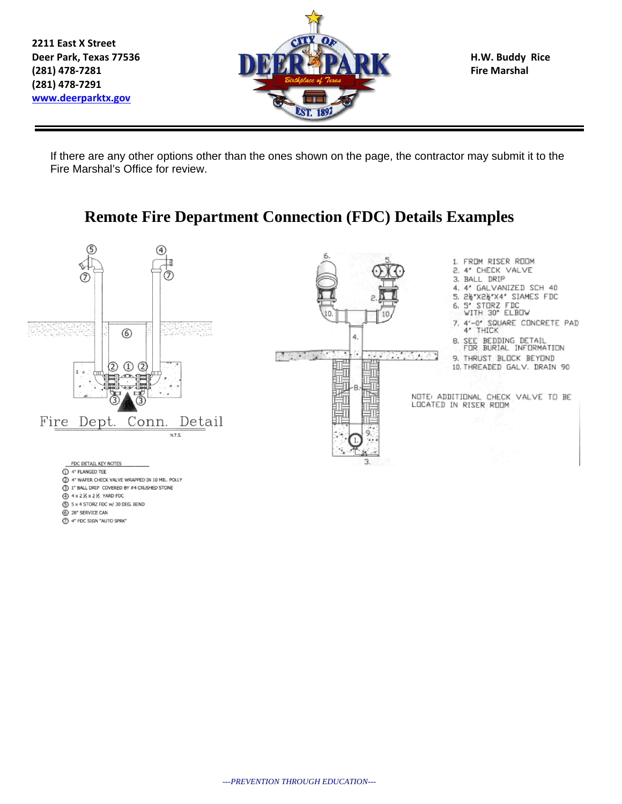**2211 East X Street (281) 478‐7291 www.deerparktx.gov**



If there are any other options other than the ones shown on the page, the contractor may submit it to the Fire Marshal's Office for review.

## **Remote Fire Department Connection (FDC) Details Examples**



- 5 x 4 STORZ FDC w/ 30 DEG. BEND
- 28\* SERVICE CAN
- 4" FDC SIGN "AUTO SPRK"